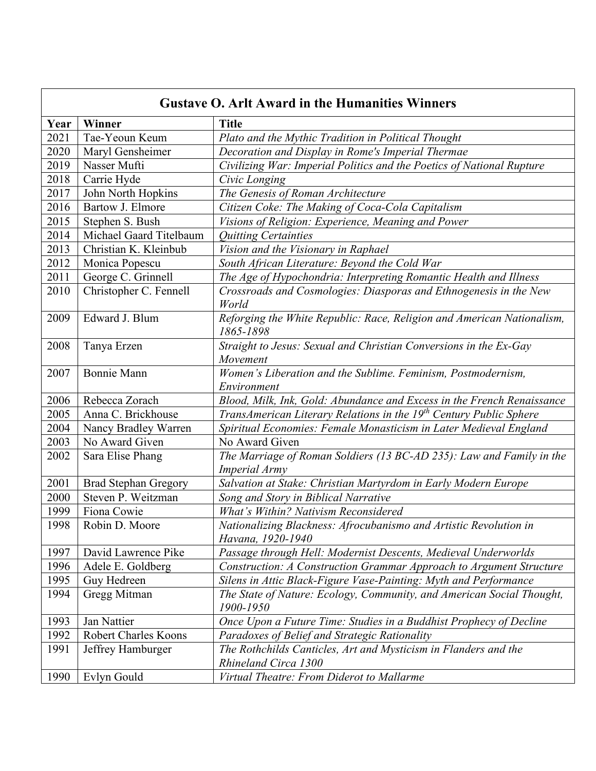| <b>Gustave O. Arlt Award in the Humanities Winners</b> |                             |                                                                                              |
|--------------------------------------------------------|-----------------------------|----------------------------------------------------------------------------------------------|
| Year                                                   | Winner                      | <b>Title</b>                                                                                 |
| 2021                                                   | Tae-Yeoun Keum              | Plato and the Mythic Tradition in Political Thought                                          |
| 2020                                                   | Maryl Gensheimer            | Decoration and Display in Rome's Imperial Thermae                                            |
| 2019                                                   | Nasser Mufti                | Civilizing War: Imperial Politics and the Poetics of National Rupture                        |
| 2018                                                   | Carrie Hyde                 | Civic Longing                                                                                |
| 2017                                                   | John North Hopkins          | The Genesis of Roman Architecture                                                            |
| 2016                                                   | Bartow J. Elmore            | Citizen Coke: The Making of Coca-Cola Capitalism                                             |
| 2015                                                   | Stephen S. Bush             | Visions of Religion: Experience, Meaning and Power                                           |
| 2014                                                   | Michael Gaard Titelbaum     | <b>Quitting Certainties</b>                                                                  |
| 2013                                                   | Christian K. Kleinbub       | Vision and the Visionary in Raphael                                                          |
| 2012                                                   | Monica Popescu              | South African Literature: Beyond the Cold War                                                |
| 2011                                                   | George C. Grinnell          | The Age of Hypochondria: Interpreting Romantic Health and Illness                            |
| 2010                                                   | Christopher C. Fennell      | Crossroads and Cosmologies: Diasporas and Ethnogenesis in the New                            |
| 2009                                                   | Edward J. Blum              | World<br>Reforging the White Republic: Race, Religion and American Nationalism,              |
|                                                        |                             | 1865-1898                                                                                    |
| 2008                                                   | Tanya Erzen                 | Straight to Jesus: Sexual and Christian Conversions in the Ex-Gay                            |
|                                                        |                             | Movement                                                                                     |
| 2007                                                   | Bonnie Mann                 | Women's Liberation and the Sublime. Feminism, Postmodernism,                                 |
|                                                        |                             | Environment                                                                                  |
| 2006                                                   | Rebecca Zorach              | Blood, Milk, Ink, Gold: Abundance and Excess in the French Renaissance                       |
| 2005                                                   | Anna C. Brickhouse          | TransAmerican Literary Relations in the 19 <sup>th</sup> Century Public Sphere               |
| 2004                                                   | Nancy Bradley Warren        | Spiritual Economies: Female Monasticism in Later Medieval England                            |
| 2003                                                   | No Award Given              | No Award Given                                                                               |
| 2002                                                   | Sara Elise Phang            | The Marriage of Roman Soldiers (13 BC-AD 235): Law and Family in the<br><b>Imperial Army</b> |
| 2001                                                   | <b>Brad Stephan Gregory</b> | Salvation at Stake: Christian Martyrdom in Early Modern Europe                               |
| 2000                                                   | Steven P. Weitzman          | Song and Story in Biblical Narrative                                                         |
| 1999                                                   | Fiona Cowie                 | What's Within? Nativism Reconsidered                                                         |
| 1998                                                   | Robin D. Moore              | Nationalizing Blackness: Afrocubanismo and Artistic Revolution in<br>Havana, 1920-1940       |
| 1997                                                   | David Lawrence Pike         | Passage through Hell: Modernist Descents, Medieval Underworlds                               |
| 1996                                                   | Adele E. Goldberg           | Construction: A Construction Grammar Approach to Argument Structure                          |
| 1995                                                   | Guy Hedreen                 | Silens in Attic Black-Figure Vase-Painting: Myth and Performance                             |
| 1994                                                   | Gregg Mitman                | The State of Nature: Ecology, Community, and American Social Thought,<br>1900-1950           |
| 1993                                                   | Jan Nattier                 | Once Upon a Future Time: Studies in a Buddhist Prophecy of Decline                           |
| 1992                                                   | <b>Robert Charles Koons</b> | Paradoxes of Belief and Strategic Rationality                                                |
| 1991                                                   | Jeffrey Hamburger           | The Rothchilds Canticles, Art and Mysticism in Flanders and the                              |
|                                                        |                             | Rhineland Circa 1300                                                                         |
| 1990                                                   | Evlyn Gould                 | Virtual Theatre: From Diderot to Mallarme                                                    |